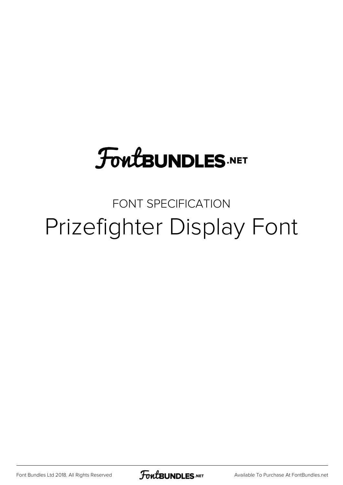## **FoutBUNDLES.NET**

### FONT SPECIFICATION Prizefighter Display Font

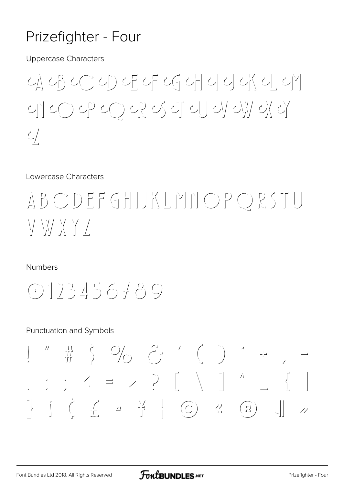#### Prizefighter - Four

**Uppercase Characters** 

<u>에 아이에 어디 아이에 아이에 아</u> 네 20 아 20 22 5 리 리 4 23 라  $\mathcal{L}$ 

Lowercase Characters

### ABCDEFGHUKLMNOPQRSTU  $\setminus$   $\setminus$   $\setminus$   $\setminus$   $\setminus$   $\setminus$   $\setminus$

**Numbers** 

 $(0)$ ]  $23456789$ 

#### **Punctuation and Symbols**

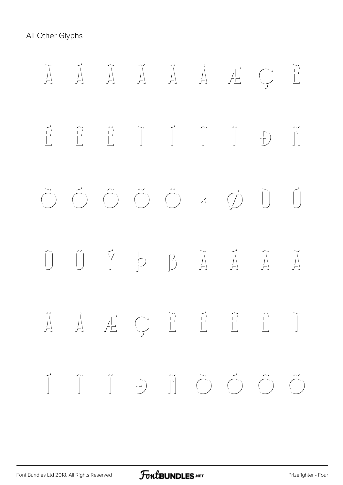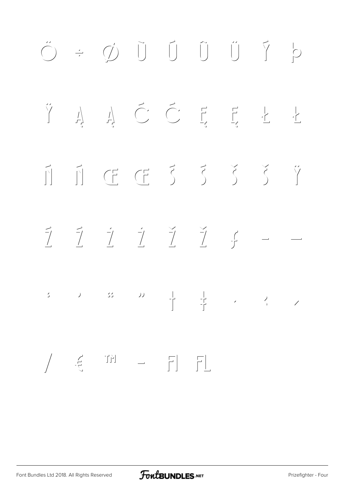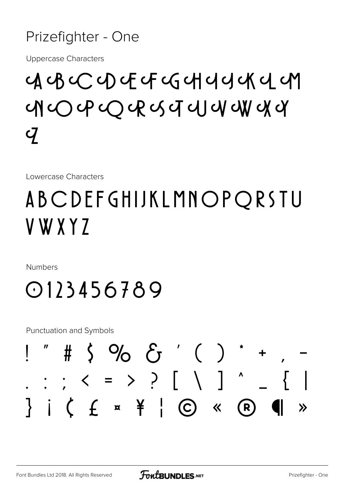#### Prizefighter - One

**Uppercase Characters** 

## $G$   $G$   $C$   $D$   $C$   $G$   $G$   $H$   $G$   $G$   $G$   $G$  $\boldsymbol{Q}$

Lowercase Characters

## ABCDEFGHIJKLMNOPQRSTU V W X Y 7

**Numbers** 

0123456789

**Punctuation and Symbols** 

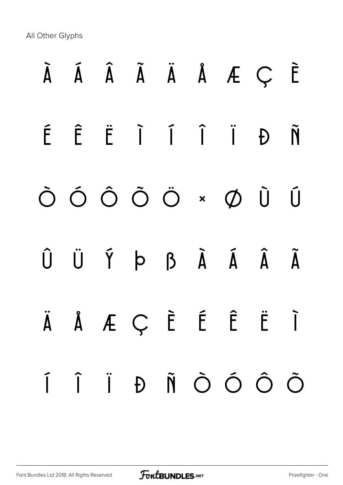## À Á Â Ã Ä Å Æ Ç È É Ê Ë Ì Í Î Ï Ð Ñ Ò Ó Ô Õ Ö × Ø Ù Ú Û Ü Ý Þ ß à á â ã ä å æ ç è é ê ë ì í î ï ð ñ ò ó ô õ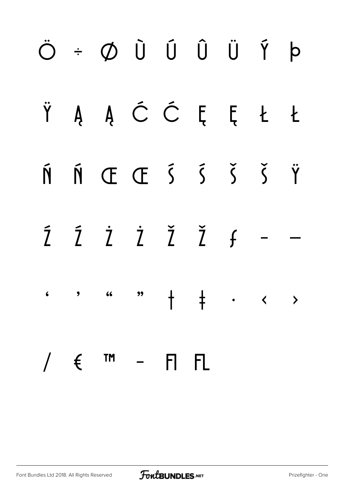#### Ö÷ØÙŰÛÜÝÞ Ÿ Ą Ą Ć Ć Ę Ę Ł  $\mathbf{t}$  $\tilde{N}$  (E E  $\tilde{S}$   $\tilde{S}$   $\tilde{S}$   $\tilde{S}$   $\tilde{Y}$ Ń Ź Ż Ż Ž Ž f  $\tilde{7}$  $\dagger$  $\frac{1}{2}$  . .  $\epsilon$  $\bullet$  $66$ "  $\rightarrow$ **TM**  $\left(\begin{array}{c} \pm \end{array}\right)$  $\frac{1}{2}$  $\mathsf{F}$  $\mathsf{F}$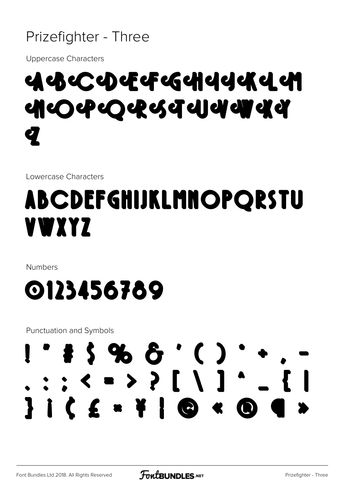#### Prizefighter - Three

**Uppercase Characters** 

## બ્રુબ્રુબ્ટબ્રુબ્ટબ્લ્લિબનિયન બ <u>सा</u>ं के स्टब्स्ट बन के बाद में बाद से बाद से बाद से बाद से बाद से बाद से बाद से बाद से बाद से बाद से बाद से ब

Lowercase Characters

## **ABCDEFGHIJKLMNOPQRSTU** VWXYZ

**Numbers** 



**Punctuation and Symbols** 

## $\cdot$  \$ \$ % &  $\cdot$  ( )  $: \cdot \cdot \cdot \cdot \cdot \cdot$ **JICE - FIG < G**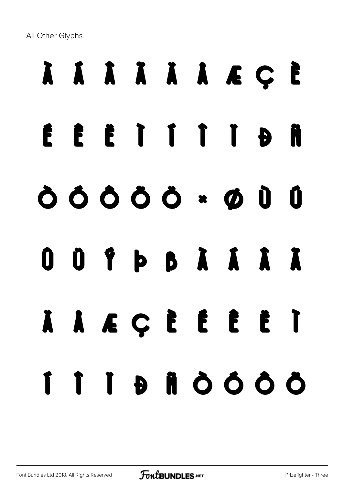# À Á Â Ã Ä Å Æ Ç È É Ê Ë Ì Í Î Ï Ð Ñ Ò Ó Ô Õ Ö × Ø Ù Ú Û Ü Ý Þ ß à á â ã ä å æ ç è é ê ë ì í î ï ð ñ ò ó ô õ

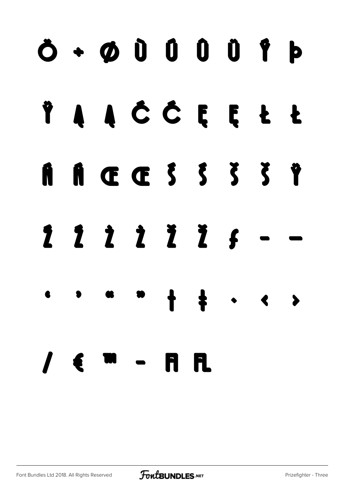## $\ddot{\mathbf{O}}$  +  $\mathbf{O}$   $\mathbf{O}$   $\mathbf{O}$   $\mathbf{O}$   $\mathbf{O}$   $\mathbf{O}$   $\mathbf{O}$ AAČĈEEŁŁ Ÿ  $A \times C$   $5$   $5$   $5$   $5$ Ñ 1111111  $\uparrow$   $\downarrow$  $\bullet$   $\bullet$  $\rightarrow$  $\boldsymbol{I}$ R  $\epsilon$   $\sim$   $\epsilon$

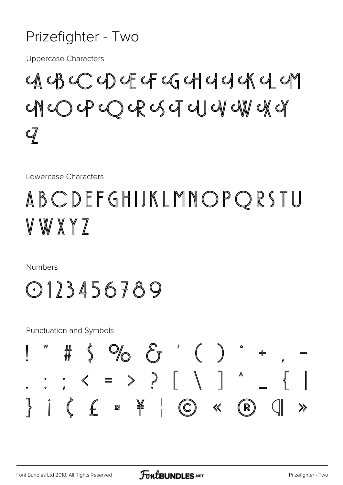#### Prizefighter - Two

**Uppercase Characters** 

 $\begin{array}{c} \mathcal{A}\mathcal{A}\mathcal{B}\mathcal{A} \mathcal{C} \mathcal{A} \mathcal{A} \mathcal{C} \mathcal{A} \mathcal{C} \mathcal{A} \mathcal{C} \mathcal{A} \mathcal{C} \mathcal{A} \mathcal{C} \mathcal{A} \mathcal{C} \mathcal{A} \mathcal{C} \mathcal{A} \mathcal{C} \mathcal{A} \mathcal{C} \mathcal{A} \mathcal{C} \mathcal{A} \mathcal{C} \mathcal{A} \mathcal{C} \mathcal{A} \mathcal{C} \mathcal{A} \mathcal{C} \mathcal{A} \mathcal{C}$ OPCRUTUUWA  $\subset \mathbb{N}$  $\mathcal{q}$ 

Lowercase Characters

## ABCDEFGHIJKLMNOPORSTU V W X Y 7

**Numbers** 



**Punctuation and Symbols** 

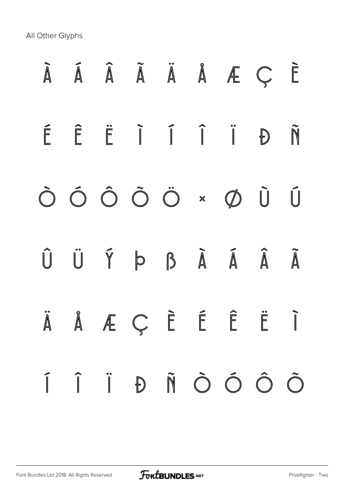## À Á Â Ã Ä Å Æ Ç È É Ê Ë Ì Í Î Ï Ð Ñ Ò Ó Ô Õ Ö × Ø Ù Ú Û Ü Ý Þ ß à á â ã ä å æ ç è é ê ë ì í î ï ð ñ ò ó ô õ